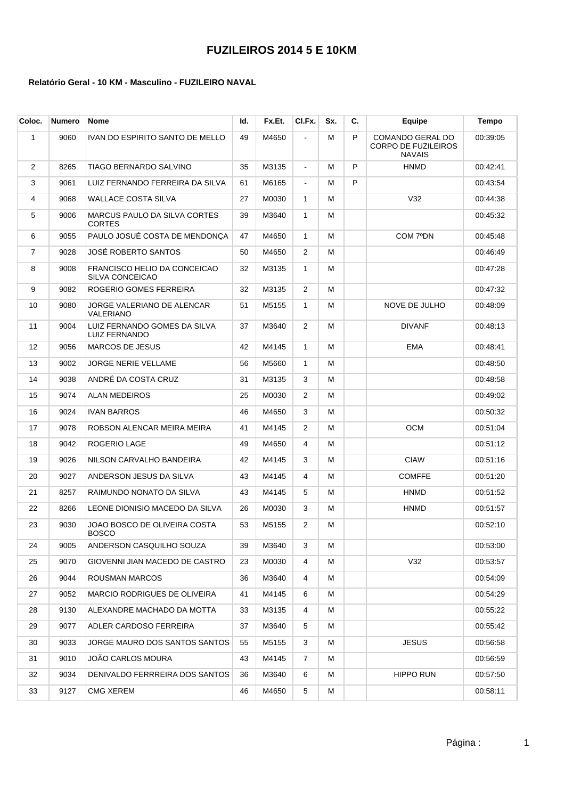## **FUZILEIROS 2014 5 E 10KM**

#### **Relatório Geral - 10 KM - Masculino - FUZILEIRO NAVAL**

| Coloc. | <b>Numero</b> | <b>Nome</b>                                          | ld. | Fx.Et. | CI.Fx.         | Sx. | C. | Equipe                                                          | <b>Tempo</b> |
|--------|---------------|------------------------------------------------------|-----|--------|----------------|-----|----|-----------------------------------------------------------------|--------------|
| 1      | 9060          | IVAN DO ESPIRITO SANTO DE MELLO                      | 49  | M4650  | $\overline{a}$ | М   | P  | COMANDO GERAL DO<br><b>CORPO DE FUZILEIROS</b><br><b>NAVAIS</b> | 00:39:05     |
| 2      | 8265          | TIAGO BERNARDO SALVINO                               | 35  | M3135  | $\blacksquare$ | М   | P  | <b>HNMD</b>                                                     | 00:42:41     |
| 3      | 9061          | LUIZ FERNANDO FERREIRA DA SILVA                      | 61  | M6165  | $\blacksquare$ | М   | P  |                                                                 | 00:43:54     |
| 4      | 9068          | WALLACE COSTA SILVA                                  | 27  | M0030  | $\mathbf{1}$   | м   |    | V32                                                             | 00:44:38     |
| 5      | 9006          | MARCUS PAULO DA SILVA CORTES<br>CORTES               | 39  | M3640  | $\mathbf{1}$   | М   |    |                                                                 | 00:45:32     |
| 6      | 9055          | PAULO JOSUÉ COSTA DE MENDONCA                        | 47  | M4650  | $\mathbf{1}$   | М   |    | COM 7ºDN                                                        | 00:45:48     |
| 7      | 9028          | JOSÉ ROBERTO SANTOS                                  | 50  | M4650  | $\overline{2}$ | M   |    |                                                                 | 00:46:49     |
| 8      | 9008          | FRANCISCO HELIO DA CONCEICAO<br>SILVA CONCEICAO      | 32  | M3135  | $\mathbf{1}$   | м   |    |                                                                 | 00:47:28     |
| 9      | 9082          | ROGERIO GOMES FERREIRA                               | 32  | M3135  | $\overline{2}$ | м   |    |                                                                 | 00:47:32     |
| 10     | 9080          | JORGE VALERIANO DE ALENCAR<br>VALERIANO              | 51  | M5155  | $\mathbf{1}$   | м   |    | NOVE DE JULHO                                                   | 00:48:09     |
| 11     | 9004          | LUIZ FERNANDO GOMES DA SILVA<br><b>LUIZ FERNANDO</b> | 37  | M3640  | $\overline{2}$ | м   |    | <b>DIVANF</b>                                                   | 00:48:13     |
| 12     | 9056          | <b>MARCOS DE JESUS</b>                               | 42  | M4145  | $\mathbf{1}$   | м   |    | EMA                                                             | 00:48:41     |
| 13     | 9002          | <b>JORGE NERIE VELLAME</b>                           | 56  | M5660  | $\mathbf{1}$   | м   |    |                                                                 | 00:48:50     |
| 14     | 9038          | ANDRÉ DA COSTA CRUZ                                  | 31  | M3135  | 3              | м   |    |                                                                 | 00:48:58     |
| 15     | 9074          | ALAN MEDEIROS                                        | 25  | M0030  | $\overline{2}$ | М   |    |                                                                 | 00:49:02     |
| 16     | 9024          | <b>IVAN BARROS</b>                                   | 46  | M4650  | 3              | М   |    |                                                                 | 00:50:32     |
| 17     | 9078          | ROBSON ALENCAR MEIRA MEIRA                           | 41  | M4145  | $\overline{2}$ | М   |    | <b>OCM</b>                                                      | 00:51:04     |
| 18     | 9042          | ROGERIO LAGE                                         | 49  | M4650  | 4              | м   |    |                                                                 | 00:51:12     |
| 19     | 9026          | NILSON CARVALHO BANDEIRA                             | 42  | M4145  | 3              | м   |    | <b>CIAW</b>                                                     | 00:51:16     |
| 20     | 9027          | ANDERSON JESUS DA SILVA                              | 43  | M4145  | 4              | м   |    | <b>COMFFE</b>                                                   | 00:51:20     |
| 21     | 8257          | RAIMUNDO NONATO DA SILVA                             | 43  | M4145  | 5              | М   |    | <b>HNMD</b>                                                     | 00:51:52     |
| 22     | 8266          | LEONE DIONISIO MACEDO DA SILVA                       | 26  | M0030  | 3              | м   |    | <b>HNMD</b>                                                     | 00:51:57     |
| 23     | 9030          | JOAO BOSCO DE OLIVEIRA COSTA<br><b>BOSCO</b>         | 53  | M5155  | 2              | м   |    |                                                                 | 00:52:10     |
| 24     | 9005          | ANDERSON CASQUILHO SOUZA                             | 39  | M3640  | 3              | м   |    |                                                                 | 00:53:00     |
| 25     | 9070          | GIOVENNI JIAN MACEDO DE CASTRO                       | 23  | M0030  | 4              | м   |    | V32                                                             | 00:53:57     |
| 26     | 9044          | ROUSMAN MARCOS                                       | 36  | M3640  | 4              | м   |    |                                                                 | 00:54:09     |
| 27     | 9052          | MARCIO RODRIGUES DE OLIVEIRA                         | 41  | M4145  | 6              | м   |    |                                                                 | 00:54:29     |
| 28     | 9130          | ALEXANDRE MACHADO DA MOTTA                           | 33  | M3135  | 4              | м   |    |                                                                 | 00:55:22     |
| 29     | 9077          | ADLER CARDOSO FERREIRA                               | 37  | M3640  | 5              | м   |    |                                                                 | 00:55:42     |
| 30     | 9033          | JORGE MAURO DOS SANTOS SANTOS                        | 55  | M5155  | 3              | м   |    | <b>JESUS</b>                                                    | 00:56:58     |
| 31     | 9010          | JOÃO CARLOS MOURA                                    | 43  | M4145  | $\overline{7}$ | м   |    |                                                                 | 00:56:59     |
| 32     | 9034          | DENIVALDO FERRREIRA DOS SANTOS                       | 36  | M3640  | 6              | м   |    | <b>HIPPO RUN</b>                                                | 00:57:50     |
| 33     | 9127          | CMG XEREM                                            | 46  | M4650  | 5              | М   |    |                                                                 | 00:58:11     |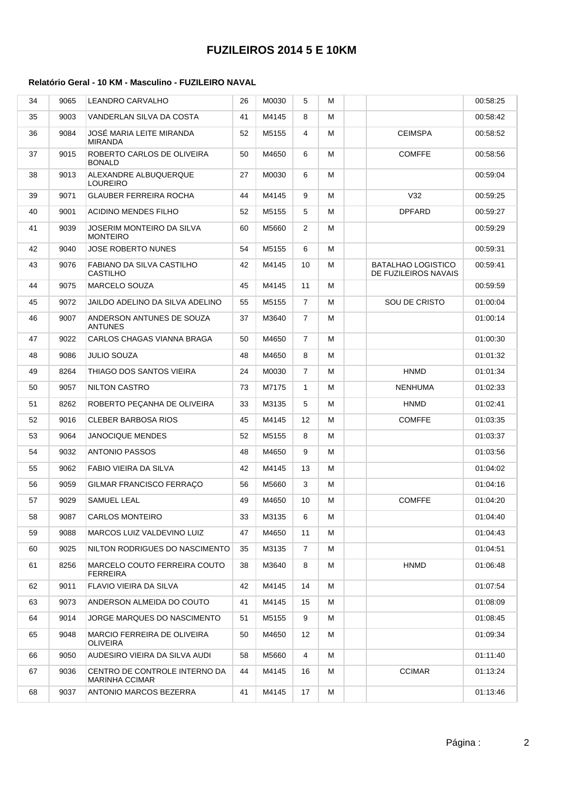## **FUZILEIROS 2014 5 E 10KM**

### **Relatório Geral - 10 KM - Masculino - FUZILEIRO NAVAL**

| 34 | 9065 | <b>LEANDRO CARVALHO</b>                                | 26 | M0030 | 5              | м |                                                   | 00:58:25 |
|----|------|--------------------------------------------------------|----|-------|----------------|---|---------------------------------------------------|----------|
| 35 | 9003 | VANDERLAN SILVA DA COSTA                               | 41 | M4145 | 8              | м |                                                   | 00:58:42 |
| 36 | 9084 | JOSÉ MARIA LEITE MIRANDA<br><b>MIRANDA</b>             | 52 | M5155 | 4              | м | <b>CEIMSPA</b>                                    | 00:58:52 |
| 37 | 9015 | ROBERTO CARLOS DE OLIVEIRA<br><b>BONALD</b>            | 50 | M4650 | 6              | м | <b>COMFFE</b>                                     | 00:58:56 |
| 38 | 9013 | ALEXANDRE ALBUQUERQUE<br><b>LOUREIRO</b>               | 27 | M0030 | 6              | М |                                                   | 00:59:04 |
| 39 | 9071 | <b>GLAUBER FERREIRA ROCHA</b>                          | 44 | M4145 | 9              | м | V32                                               | 00:59:25 |
| 40 | 9001 | <b>ACIDINO MENDES FILHO</b>                            | 52 | M5155 | 5              | м | <b>DPFARD</b>                                     | 00:59:27 |
| 41 | 9039 | JOSERIM MONTEIRO DA SILVA<br><b>MONTEIRO</b>           | 60 | M5660 | $\overline{2}$ | м |                                                   | 00:59:29 |
| 42 | 9040 | <b>JOSE ROBERTO NUNES</b>                              | 54 | M5155 | 6              | м |                                                   | 00:59:31 |
| 43 | 9076 | FABIANO DA SILVA CASTILHO<br>CASTILHO                  | 42 | M4145 | 10             | м | <b>BATALHAO LOGISTICO</b><br>DE FUZILEIROS NAVAIS | 00:59:41 |
| 44 | 9075 | MARCELO SOUZA                                          | 45 | M4145 | 11             | м |                                                   | 00:59:59 |
| 45 | 9072 | JAILDO ADELINO DA SILVA ADELINO                        | 55 | M5155 | $\overline{7}$ | м | SOU DE CRISTO                                     | 01:00:04 |
| 46 | 9007 | ANDERSON ANTUNES DE SOUZA<br><b>ANTUNES</b>            | 37 | M3640 | $\overline{7}$ | М |                                                   | 01:00:14 |
| 47 | 9022 | CARLOS CHAGAS VIANNA BRAGA                             | 50 | M4650 | $\overline{7}$ | м |                                                   | 01:00:30 |
| 48 | 9086 | <b>JULIO SOUZA</b>                                     | 48 | M4650 | 8              | м |                                                   | 01:01:32 |
| 49 | 8264 | THIAGO DOS SANTOS VIEIRA                               | 24 | M0030 | $\overline{7}$ | м | <b>HNMD</b>                                       | 01:01:34 |
| 50 | 9057 | <b>NILTON CASTRO</b>                                   | 73 | M7175 | $\mathbf{1}$   | м | <b>NENHUMA</b>                                    | 01:02:33 |
| 51 | 8262 | ROBERTO PEÇANHA DE OLIVEIRA                            | 33 | M3135 | 5              | м | <b>HNMD</b>                                       | 01:02:41 |
| 52 | 9016 | <b>CLEBER BARBOSA RIOS</b>                             | 45 | M4145 | 12             | м | <b>COMFFE</b>                                     | 01:03:35 |
| 53 | 9064 | <b>JANOCIQUE MENDES</b>                                | 52 | M5155 | 8              | м |                                                   | 01:03:37 |
| 54 | 9032 | <b>ANTONIO PASSOS</b>                                  | 48 | M4650 | 9              | м |                                                   | 01:03:56 |
| 55 | 9062 | FABIO VIEIRA DA SILVA                                  | 42 | M4145 | 13             | м |                                                   | 01:04:02 |
| 56 | 9059 | GILMAR FRANCISCO FERRAÇO                               | 56 | M5660 | 3              | м |                                                   | 01:04:16 |
| 57 | 9029 | <b>SAMUEL LEAL</b>                                     | 49 | M4650 | 10             | м | <b>COMFFE</b>                                     | 01:04:20 |
| 58 | 9087 | CARLOS MONTEIRO                                        | 33 | M3135 | 6              | М |                                                   | 01:04:40 |
| 59 | 9088 | MARCOS LUIZ VALDEVINO LUIZ                             | 47 | M4650 | 11             | м |                                                   | 01:04:43 |
| 60 | 9025 | NILTON RODRIGUES DO NASCIMENTO                         | 35 | M3135 | 7              | м |                                                   | 01:04:51 |
| 61 | 8256 | MARCELO COUTO FERREIRA COUTO<br>FERREIRA               | 38 | M3640 | 8              | м | <b>HNMD</b>                                       | 01:06:48 |
| 62 | 9011 | FLAVIO VIEIRA DA SILVA                                 | 42 | M4145 | 14             | м |                                                   | 01:07:54 |
| 63 | 9073 | ANDERSON ALMEIDA DO COUTO                              | 41 | M4145 | 15             | м |                                                   | 01:08:09 |
| 64 | 9014 | JORGE MARQUES DO NASCIMENTO                            | 51 | M5155 | 9              | м |                                                   | 01:08:45 |
| 65 | 9048 | MARCIO FERREIRA DE OLIVEIRA<br>OLIVEIRA                | 50 | M4650 | 12             | м |                                                   | 01:09:34 |
| 66 | 9050 | AUDESIRO VIEIRA DA SILVA AUDI                          | 58 | M5660 | 4              | м |                                                   | 01:11:40 |
| 67 | 9036 | CENTRO DE CONTROLE INTERNO DA<br><b>MARINHA CCIMAR</b> | 44 | M4145 | 16             | м | <b>CCIMAR</b>                                     | 01:13:24 |
| 68 | 9037 | ANTONIO MARCOS BEZERRA                                 | 41 | M4145 | 17             | м |                                                   | 01:13:46 |